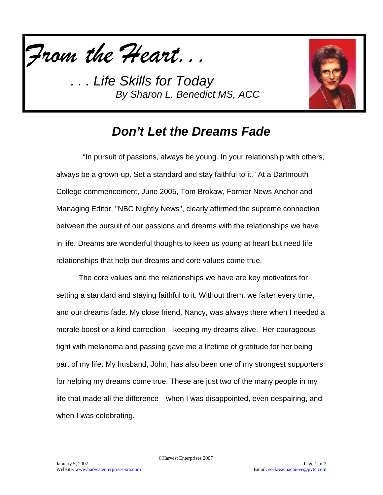

*. . . Life Skills for Today By Sharon L. Benedict MS, ACC*



## *Don't Let the Dreams Fade*

 "In pursuit of passions, always be young. In your relationship with others, always be a grown-up. Set a standard and stay faithful to it." At a Dartmouth College commencement, June 2005, Tom Brokaw, Former News Anchor and Managing Editor, "NBC Nightly News", clearly affirmed the supreme connection between the pursuit of our passions and dreams with the relationships we have in life. Dreams are wonderful thoughts to keep us young at heart but need life relationships that help our dreams and core values come true.

The core values and the relationships we have are key motivators for setting a standard and staying faithful to it. Without them, we falter every time, and our dreams fade. My close friend, Nancy, was always there when I needed a morale boost or a kind correction—keeping my dreams alive. Her courageous fight with melanoma and passing gave me a lifetime of gratitude for her being part of my life. My husband, John, has also been one of my strongest supporters for helping my dreams come true. These are just two of the many people in my life that made all the difference—when I was disappointed, even despairing, and when I was celebrating.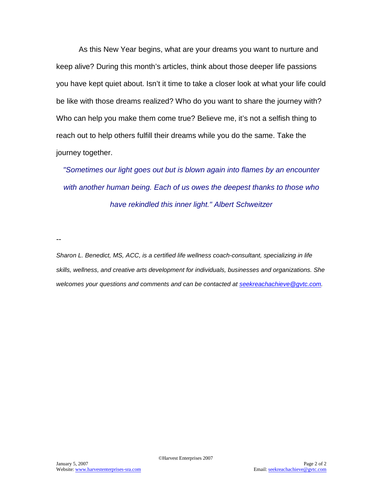As this New Year begins, what are your dreams you want to nurture and keep alive? During this month's articles, think about those deeper life passions you have kept quiet about. Isn't it time to take a closer look at what your life could be like with those dreams realized? Who do you want to share the journey with? Who can help you make them come true? Believe me, it's not a selfish thing to reach out to help others fulfill their dreams while you do the same. Take the journey together.

*"Sometimes our light goes out but is blown again into flames by an encounter with another human being. Each of us owes the deepest thanks to those who have rekindled this inner light." Albert Schweitzer*

--

*Sharon L. Benedict, MS, ACC, is a certified life wellness coach-consultant, specializing in life skills, wellness, and creative arts development for individuals, businesses and organizations. She welcomes your questions and comments and can be contacted at [seekreachachieve@gvtc.com.](mailto:seekreachachieve@gvtc.com)*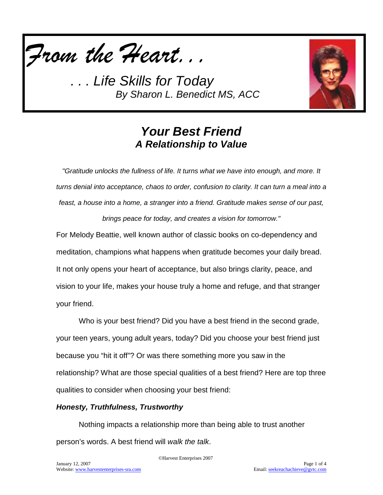

*. . . Life Skills for Today By Sharon L. Benedict MS, ACC*



### *Your Best Friend A Relationship to Value*

*"Gratitude unlocks the fullness of life. It turns what we have into enough, and more. It turns denial into acceptance, chaos to order, confusion to clarity. It can turn a meal into a feast, a house into a home, a stranger into a friend. Gratitude makes sense of our past, brings peace for today, and creates a vision for tomorrow."*

For Melody Beattie, well known author of classic books on co-dependency and meditation, champions what happens when gratitude becomes your daily bread. It not only opens your heart of acceptance, but also brings clarity, peace, and vision to your life, makes your house truly a home and refuge, and that stranger your friend.

Who is your best friend? Did you have a best friend in the second grade, your teen years, young adult years, today? Did you choose your best friend just because you "hit it off"? Or was there something more you saw in the relationship? What are those special qualities of a best friend? Here are top three qualities to consider when choosing your best friend:

#### *Honesty, Truthfulness, Trustworthy*

Nothing impacts a relationship more than being able to trust another person's words. A best friend will *walk the talk*.

©Harvest Enterprises 2007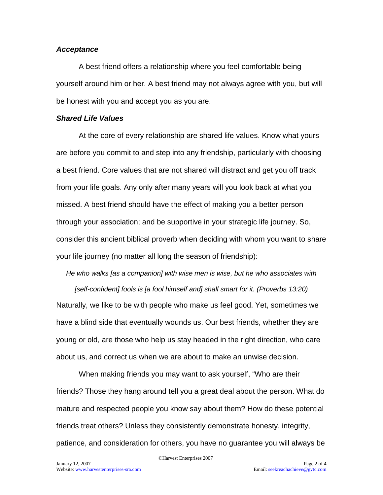#### *Acceptance*

A best friend offers a relationship where you feel comfortable being yourself around him or her. A best friend may not always agree with you, but will be honest with you and accept you as you are.

#### *Shared Life Values*

At the core of every relationship are shared life values. Know what yours are before you commit to and step into any friendship, particularly with choosing a best friend. Core values that are not shared will distract and get you off track from your life goals. Any only after many years will you look back at what you missed. A best friend should have the effect of making you a better person through your association; and be supportive in your strategic life journey. So, consider this ancient biblical proverb when deciding with whom you want to share your life journey (no matter all long the season of friendship):

*He who walks [as a companion] with wise men is wise, but he who associates with* 

*[self-confident] fools is [a fool himself and] shall smart for it. (Proverbs 13:20)* Naturally, we like to be with people who make us feel good. Yet, sometimes we have a blind side that eventually wounds us. Our best friends, whether they are young or old, are those who help us stay headed in the right direction, who care about us, and correct us when we are about to make an unwise decision.

When making friends you may want to ask yourself, "Who are their friends? Those they hang around tell you a great deal about the person. What do mature and respected people you know say about them? How do these potential friends treat others? Unless they consistently demonstrate honesty, integrity, patience, and consideration for others, you have no guarantee you will always be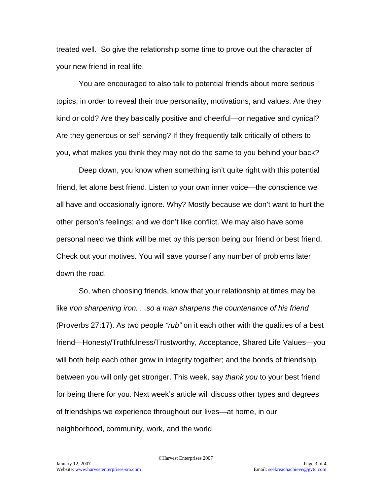treated well. So give the relationship some time to prove out the character of your new friend in real life.

You are encouraged to also talk to potential friends about more serious topics, in order to reveal their true personality, motivations, and values. Are they kind or cold? Are they basically positive and cheerful—or negative and cynical? Are they generous or self-serving? If they frequently talk critically of others to you, what makes you think they may not do the same to you behind your back?

Deep down, you know when something isn't quite right with this potential friend, let alone best friend. Listen to your own inner voice—the conscience we all have and occasionally ignore. Why? Mostly because we don't want to hurt the other person's feelings; and we don't like conflict. We may also have some personal need we think will be met by this person being our friend or best friend. Check out your motives. You will save yourself any number of problems later down the road.

So, when choosing friends, know that your relationship at times may be like *iron sharpening iron. . .so a man sharpens the countenance of his friend*  (Proverbs 27:17). As two people *"rub"* on it each other with the qualities of a best friend—Honesty/Truthfulness/Trustworthy, Acceptance, Shared Life Values—you will both help each other grow in integrity together; and the bonds of friendship between you will only get stronger. This week, say *thank you* to your best friend for being there for you. Next week's article will discuss other types and degrees of friendships we experience throughout our lives—at home, in our neighborhood, community, work, and the world.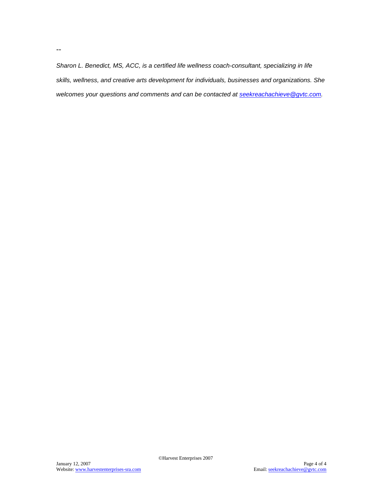*Sharon L. Benedict, MS, ACC, is a certified life wellness coach-consultant, specializing in life skills, wellness, and creative arts development for individuals, businesses and organizations. She welcomes your questions and comments and can be contacted at [seekreachachieve@gvtc.com.](mailto:seekreachachieve@gvtc.com)*

--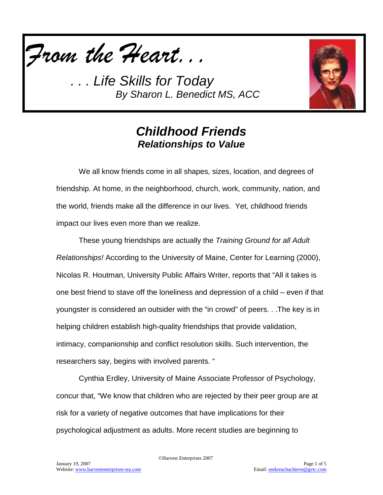

*. . . Life Skills for Today By Sharon L. Benedict MS, ACC*



### *Childhood Friends Relationships to Value*

We all know friends come in all shapes, sizes, location, and degrees of friendship. At home, in the neighborhood, church, work, community, nation, and the world, friends make all the difference in our lives. Yet, childhood friends impact our lives even more than we realize.

These young friendships are actually the *Training Ground for all Adult Relationships!* According to the University of Maine, Center for Learning (2000), Nicolas R. Houtman, University Public Affairs Writer, reports that "All it takes is one best friend to stave off the loneliness and depression of a child – even if that youngster is considered an outsider with the "in crowd" of peers. . .The key is in helping children establish high-quality friendships that provide validation, intimacy, companionship and conflict resolution skills. Such intervention, the researchers say, begins with involved parents. "

Cynthia Erdley, University of Maine Associate Professor of Psychology, concur that, "We know that children who are rejected by their peer group are at risk for a variety of negative outcomes that have implications for their psychological adjustment as adults. More recent studies are beginning to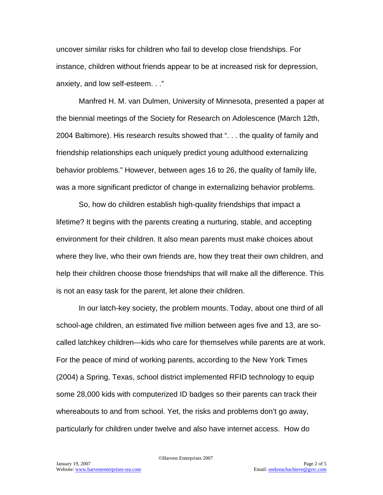uncover similar risks for children who fail to develop close friendships. For instance, children without friends appear to be at increased risk for depression, anxiety, and low self-esteem. . ."

Manfred H. M. van Dulmen, University of Minnesota, presented a paper at the biennial meetings of the Society for Research on Adolescence (March 12th, 2004 Baltimore). His research results showed that ". . . the quality of family and friendship relationships each uniquely predict young adulthood externalizing behavior problems." However, between ages 16 to 26, the quality of family life, was a more significant predictor of change in externalizing behavior problems.

So, how do children establish high-quality friendships that impact a lifetime? It begins with the parents creating a nurturing, stable, and accepting environment for their children. It also mean parents must make choices about where they live, who their own friends are, how they treat their own children, and help their children choose those friendships that will make all the difference. This is not an easy task for the parent, let alone their children.

In our latch-key society, the problem mounts. Today, about one third of all school-age children, an estimated five million between ages five and 13, are socalled latchkey children—kids who care for themselves while parents are at work. For the peace of mind of working parents, according to the New York Times (2004) a Spring, Texas, school district implemented RFID technology to equip some 28,000 kids with computerized ID badges so their parents can track their whereabouts to and from school. Yet, the risks and problems don't go away, particularly for children under twelve and also have internet access. How do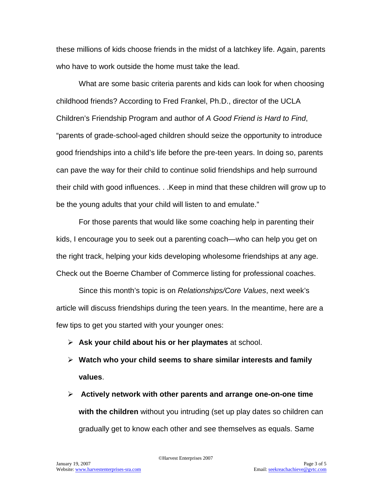these millions of kids choose friends in the midst of a latchkey life. Again, parents who have to work outside the home must take the lead.

What are some basic criteria parents and kids can look for when choosing childhood friends? According to Fred Frankel, Ph.D., director of the UCLA Children's Friendship Program and author of *A Good Friend is Hard to Find*, "parents of grade-school-aged children should seize the opportunity to introduce good friendships into a child's life before the pre-teen years. In doing so, parents can pave the way for their child to continue solid friendships and help surround their child with good influences. . .Keep in mind that these children will grow up to be the young adults that your child will listen to and emulate."

For those parents that would like some coaching help in parenting their kids, I encourage you to seek out a parenting coach—who can help you get on the right track, helping your kids developing wholesome friendships at any age. Check out the Boerne Chamber of Commerce listing for professional coaches.

Since this month's topic is on *Relationships/Core Values*, next week's article will discuss friendships during the teen years. In the meantime, here are a few tips to get you started with your younger ones:

- **Ask your child about his or her playmates** at school.
- **Watch who your child seems to share similar interests and family values**.
- **Actively network with other parents and arrange one-on-one time with the children** without you intruding (set up play dates so children can gradually get to know each other and see themselves as equals. Same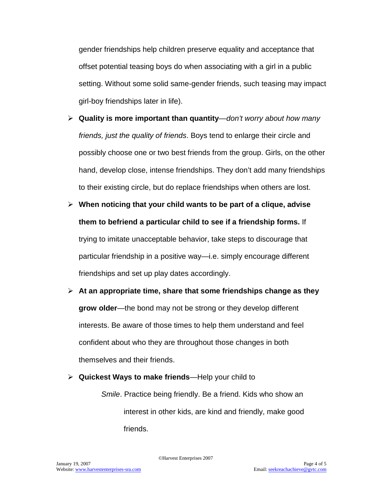gender friendships help children preserve equality and acceptance that offset potential teasing boys do when associating with a girl in a public setting. Without some solid same-gender friends, such teasing may impact girl-boy friendships later in life).

- **Quality is more important than quantity**—*don't worry about how many friends, just the quality of friends*. Boys tend to enlarge their circle and possibly choose one or two best friends from the group. Girls, on the other hand, develop close, intense friendships. They don't add many friendships to their existing circle, but do replace friendships when others are lost.
- **When noticing that your child wants to be part of a clique, advise them to befriend a particular child to see if a friendship forms.** If trying to imitate unacceptable behavior, take steps to discourage that particular friendship in a positive way—i.e. simply encourage different friendships and set up play dates accordingly.
- **At an appropriate time, share that some friendships change as they grow older**—the bond may not be strong or they develop different interests. Be aware of those times to help them understand and feel confident about who they are throughout those changes in both themselves and their friends.
- **Quickest Ways to make friends**—Help your child to

*Smile*. Practice being friendly. Be a friend. Kids who show an interest in other kids, are kind and friendly, make good friends.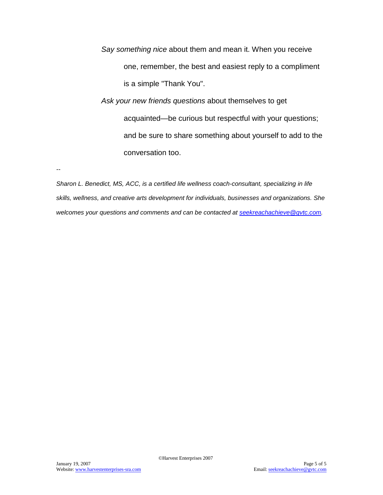*Say something nice* about them and mean it. When you receive one, remember, the best and easiest reply to a compliment is a simple "Thank You". *Ask your new friends questions* about themselves to get acquainted—be curious but respectful with your questions; and be sure to share something about yourself to add to the conversation too.

*--*

*Sharon L. Benedict, MS, ACC, is a certified life wellness coach-consultant, specializing in life skills, wellness, and creative arts development for individuals, businesses and organizations. She welcomes your questions and comments and can be contacted at [seekreachachieve@gvtc.com.](mailto:seekreachachieve@gvtc.com)*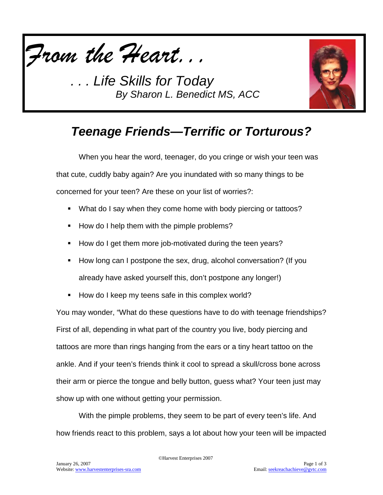

**Life Skills for Today** *By Sharon L. Benedict MS, ACC*



# *Teenage Friends—Terrific or Torturous?*

When you hear the word, teenager, do you cringe or wish your teen was that cute, cuddly baby again? Are you inundated with so many things to be concerned for your teen? Are these on your list of worries?:

- What do I say when they come home with body piercing or tattoos?
- How do I help them with the pimple problems?
- How do I get them more job-motivated during the teen years?
- How long can I postpone the sex, drug, alcohol conversation? (If you already have asked yourself this, don't postpone any longer!)
- How do I keep my teens safe in this complex world?

You may wonder, "What do these questions have to do with teenage friendships? First of all, depending in what part of the country you live, body piercing and tattoos are more than rings hanging from the ears or a tiny heart tattoo on the ankle. And if your teen's friends think it cool to spread a skull/cross bone across their arm or pierce the tongue and belly button, guess what? Your teen just may show up with one without getting your permission.

With the pimple problems, they seem to be part of every teen's life. And how friends react to this problem, says a lot about how your teen will be impacted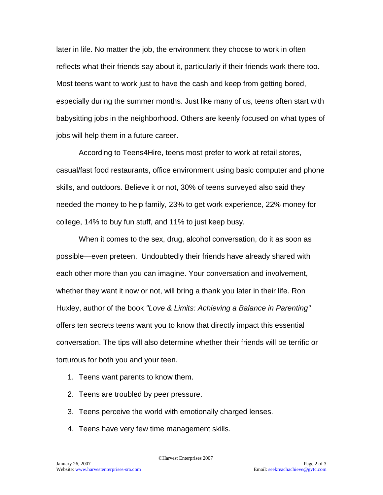later in life. No matter the job, the environment they choose to work in often reflects what their friends say about it, particularly if their friends work there too. Most teens want to work just to have the cash and keep from getting bored, especially during the summer months. Just like many of us, teens often start with babysitting jobs in the neighborhood. Others are keenly focused on what types of jobs will help them in a future career.

According to Teens4Hire, teens most prefer to work at retail stores, casual/fast food restaurants, office environment using basic computer and phone skills, and outdoors. Believe it or not, 30% of teens surveyed also said they needed the money to help family, 23% to get work experience, 22% money for college, 14% to buy fun stuff, and 11% to just keep busy.

When it comes to the sex, drug, alcohol conversation, do it as soon as possible—even preteen. Undoubtedly their friends have already shared with each other more than you can imagine. Your conversation and involvement, whether they want it now or not, will bring a thank you later in their life. Ron Huxley, author of the book *"Love & Limits: Achieving a Balance in Parenting"* offers ten secrets teens want you to know that directly impact this essential conversation. The tips will also determine whether their friends will be terrific or torturous for both you and your teen.

- 1. Teens want parents to know them.
- 2. Teens are troubled by peer pressure.
- 3. Teens perceive the world with emotionally charged lenses.
- 4. Teens have very few time management skills.